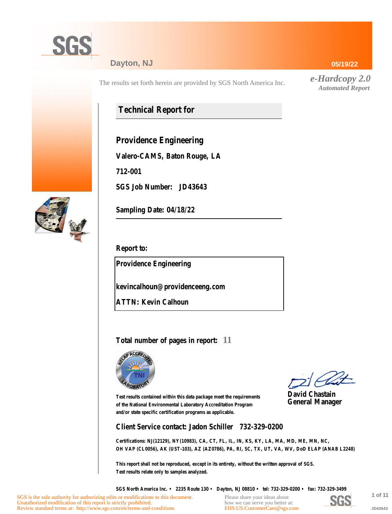

### **Dayton, NJ**

The results set forth herein are provided by SGS North America Inc.

## **Technical Report for**

**Providence Engineering**

**Valero-CAMS, Baton Rouge, LA**

**712-001**

**SGS Job Number: JD43643**



**Sampling Date: 04/18/22**

**Report to:**

**Providence Engineering**

**kevincalhoun@providenceeng.com**

**ATTN: Kevin Calhoun**

### **Total number of pages in report: 11**



**David Chastain General Manager**

**Test results contained within this data package meet the requirements of the National Environmental Laboratory Accreditation Program and/or state specific certification programs as applicable.**

**Client Service contact: Jadon Schiller 732-329-0200**

**Certifications: NJ(12129), NY(10983), CA, CT, FL, IL, IN, KS, KY, LA, MA, MD, ME, MN, NC, OH VAP (CL0056), AK (UST-103), AZ (AZ0786), PA, RI, SC, TX, UT, VA, WV, DoD ELAP (ANAB L2248)**

**This report shall not be reproduced, except in its entirety, without the written approval of SGS. Test results relate only to samples analyzed.**

**SGS North America Inc. • 2235 Route 130 • Dayton, NJ 08810 • tel: 732-329-0200 • fax: 732-329-3499**

Please share your ideas about how we can serve you better at: [EHS.US.CustomerCare@sgs.com](mailto:EHS.US.CustomerCare@sgs.com?subject=Customer care improvement idea (report JD43643))



**1 of 11 JD43643**

**05/19/22**

*e-Hardcopy 2.0 Automated Report*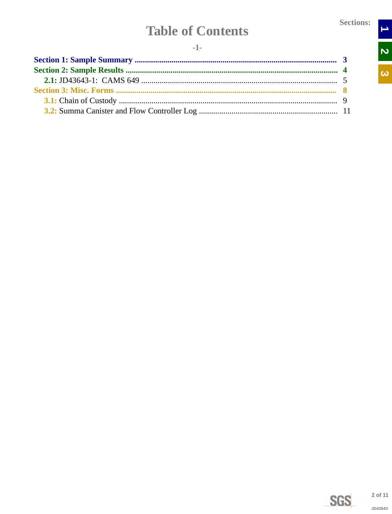$\rightarrow$ 

N<br>N

 $\overline{\omega}$ 

# **Table of Contents**

<span id="page-1-0"></span>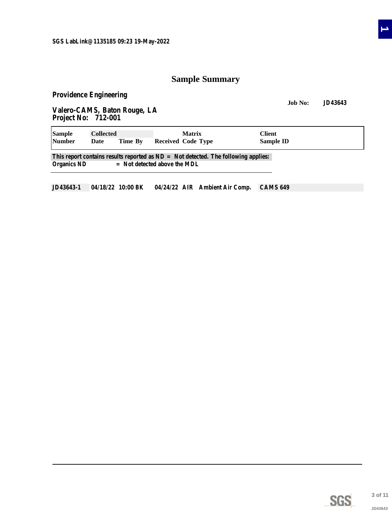### **Sample Summary**

<span id="page-2-0"></span>**Providence Engineering**

**Job No: JD43643 Valero-CAMS, Baton Rouge, LA Project No: 712-001**

| <b>Sample</b>      | <b>Collected</b>                                                                     |                                | <b>Matrix</b> |                    | <b>Client</b> |           |  |  |  |  |  |  |
|--------------------|--------------------------------------------------------------------------------------|--------------------------------|---------------|--------------------|---------------|-----------|--|--|--|--|--|--|
| <b>Number</b>      | Date                                                                                 | Time By                        |               | Received Code Type |               | Sample ID |  |  |  |  |  |  |
|                    | This report contains results reported as $ND = Not$ detected. The following applies: |                                |               |                    |               |           |  |  |  |  |  |  |
| <b>Organics ND</b> |                                                                                      | $=$ Not detected above the MDL |               |                    |               |           |  |  |  |  |  |  |

**JD43643-1 04/18/22 10:00 BK 04/24/22 AIR Ambient Air Comp. CAMS 649**



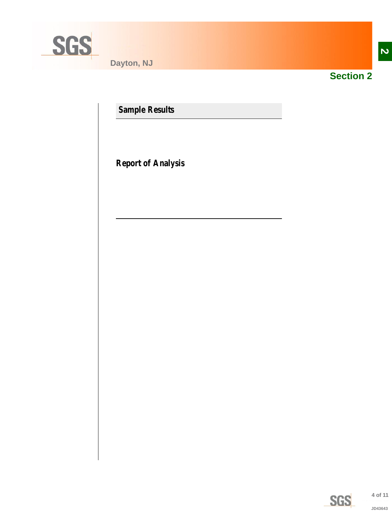<span id="page-3-0"></span>

**Dayton, NJ**



**Section 2**

**Sample Results**

**Report of Analysis**

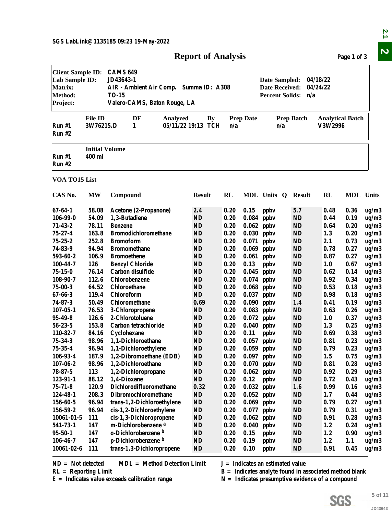|  |  | <b>Report of Analysis</b> |  |
|--|--|---------------------------|--|
|--|--|---------------------------|--|

<span id="page-4-0"></span>

|                                                                                     |                                 |                                                                                                                                                                                                                           | <b>Report of Analysis</b> |      |                  |                                                                                                                                                      |                   |                                    | Page 1 of 3      |         |  |  |
|-------------------------------------------------------------------------------------|---------------------------------|---------------------------------------------------------------------------------------------------------------------------------------------------------------------------------------------------------------------------|---------------------------|------|------------------|------------------------------------------------------------------------------------------------------------------------------------------------------|-------------------|------------------------------------|------------------|---------|--|--|
| <b>Client Sample ID:</b><br>Lab Sample ID:<br><b>Matrix:</b><br>Method:<br>Project: |                                 | <b>CAMS 649</b><br>JD43643-1<br>04/18/22<br>Date Sampled:<br><b>Date Received:</b><br>04/24/22<br>AIR - Ambient Air Comp. Summa ID: A308<br><b>Percent Solids:</b><br><b>TO-15</b><br>n/a<br>Valero-CAMS, Baton Rouge, LA |                           |      |                  |                                                                                                                                                      |                   |                                    |                  |         |  |  |
| Run#1<br><b>Run #2</b>                                                              | <b>File ID</b><br>3W76215.D     | DF<br>Analyzed<br>1                                                                                                                                                                                                       | By<br>05/11/22 19:13 TCH  | n/a  | <b>Prep Date</b> | n/a                                                                                                                                                  | <b>Prep Batch</b> | <b>Analytical Batch</b><br>V3W2996 |                  |         |  |  |
| Run#1<br><b>Run #2</b>                                                              | <b>Initial Volume</b><br>400 ml |                                                                                                                                                                                                                           |                           |      |                  |                                                                                                                                                      |                   |                                    |                  |         |  |  |
| VOA TO15 List                                                                       |                                 |                                                                                                                                                                                                                           |                           |      |                  |                                                                                                                                                      |                   |                                    |                  |         |  |  |
| CAS No.                                                                             | MW                              | Compound                                                                                                                                                                                                                  | <b>Result</b>             | RL   |                  | MDL Units Q                                                                                                                                          | Result            | <b>RL</b>                          | <b>MDL</b> Units |         |  |  |
| $67 - 64 - 1$                                                                       | 58.08                           | Acetone (2-Propanone)                                                                                                                                                                                                     | 2.4                       | 0.20 | 0.15             | ppby                                                                                                                                                 | 5.7               | 0.48                               | 0.36             | ug/m3   |  |  |
| 106-99-0                                                                            | 54.09                           | 1,3-Butadiene                                                                                                                                                                                                             | <b>ND</b>                 | 0.20 |                  | $0.084$ ppbv                                                                                                                                         | <b>ND</b>         | 0.44                               | 0.19             | ug/m3   |  |  |
| $71 - 43 - 2$                                                                       | 78.11                           | <b>Benzene</b>                                                                                                                                                                                                            | <b>ND</b>                 | 0.20 |                  | $0.062$ ppbv                                                                                                                                         | <b>ND</b>         | 0.64                               | 0.20             | ug/m3   |  |  |
| $75 - 27 - 4$                                                                       | 163.8                           | <b>Bromodichloromethane</b>                                                                                                                                                                                               | ND                        | 0.20 |                  | $0.030$ ppbv                                                                                                                                         | <b>ND</b>         | 1.3                                | 0.20             | ug/m3   |  |  |
| $75 - 25 - 2$                                                                       | 252.8                           | <b>Bromoform</b>                                                                                                                                                                                                          | <b>ND</b>                 | 0.20 |                  | $0.071$ ppbv                                                                                                                                         | <b>ND</b>         | 2.1                                | 0.73             | ug/m3   |  |  |
| 74-83-9                                                                             | 94.94                           | <b>Bromomethane</b>                                                                                                                                                                                                       | <b>ND</b>                 | 0.20 |                  | $0.069$ ppbv                                                                                                                                         | <b>ND</b>         | 0.78                               | 0.27             | ug/m3   |  |  |
| 593-60-2                                                                            | 106.9                           | <b>Bromoethene</b>                                                                                                                                                                                                        | <b>ND</b>                 | 0.20 |                  | $0.061$ ppbv                                                                                                                                         | <b>ND</b>         | 0.87                               | 0.27             | ug/m3   |  |  |
| 100-44-7                                                                            | 126                             | <b>Benzyl Chloride</b>                                                                                                                                                                                                    | <b>ND</b>                 | 0.20 | 0.13             | ppby                                                                                                                                                 | <b>ND</b>         | 1.0                                | 0.67             | ug/m3   |  |  |
| $75 - 15 - 0$                                                                       | 76.14                           | Carbon disulfide                                                                                                                                                                                                          | <b>ND</b>                 | 0.20 |                  | $0.045$ ppbv                                                                                                                                         | <b>ND</b>         | 0.62                               | 0.14             | ug/m3   |  |  |
| 108-90-7                                                                            | 112.6                           | Chlorobenzene                                                                                                                                                                                                             | <b>ND</b>                 | 0.20 |                  | $0.074$ ppbv                                                                                                                                         | <b>ND</b>         | 0.92                               | 0.34             | ug/m3   |  |  |
| $75 - 00 - 3$                                                                       | 64.52                           | Chloroethane                                                                                                                                                                                                              | ND                        | 0.20 |                  | $0.068$ ppbv                                                                                                                                         | ND                | 0.53                               | 0.18             | ug/m3   |  |  |
| $67 - 66 - 3$                                                                       | 119.4                           | Chloroform                                                                                                                                                                                                                | <b>ND</b>                 | 0.20 |                  | $0.037$ ppbv                                                                                                                                         | <b>ND</b>         | 0.98                               | 0.18             | ug/m3   |  |  |
| $74 - 87 - 3$                                                                       | 50.49                           | Chloromethane                                                                                                                                                                                                             | 0.69                      | 0.20 | 0.090            | ppbv                                                                                                                                                 | 1.4               | 0.41                               | 0.19             | ug/m3   |  |  |
| $107 - 05 - 1$                                                                      | 76.53                           | 3-Chloropropene                                                                                                                                                                                                           | ND                        | 0.20 |                  | $0.083$ ppbv                                                                                                                                         | <b>ND</b>         | 0.63                               | 0.26             | ug/m3   |  |  |
| $95 - 49 - 8$                                                                       | 126.6                           | 2-Chlorotoluene                                                                                                                                                                                                           | ND                        | 0.20 |                  | $0.072$ ppbv                                                                                                                                         | <b>ND</b>         | 1.0                                | 0.37             | ug/m3   |  |  |
| $56 - 23 - 5$                                                                       | 153.8                           | Carbon tetrachloride                                                                                                                                                                                                      | <b>ND</b>                 | 0.20 |                  | $0.040$ ppbv                                                                                                                                         | <b>ND</b>         | 1.3                                | 0.25             | ug/m3   |  |  |
| 110-82-7                                                                            | 84.16                           | Cyclohexane                                                                                                                                                                                                               | <b>ND</b>                 | 0.20 | 0.11             | ppby                                                                                                                                                 | <b>ND</b>         | 0.69                               | 0.38             | ug/m3   |  |  |
| $75 - 34 - 3$                                                                       | 98.96                           | 1,1-Dichloroethane                                                                                                                                                                                                        | ND                        | 0.20 |                  | $0.057$ ppbv                                                                                                                                         | <b>ND</b>         | 0.81                               | 0.23             | ug/m3   |  |  |
| $75 - 35 - 4$                                                                       | 96.94                           | 1,1-Dichloroethylene                                                                                                                                                                                                      | $\mathbf{N}\mathbf{D}$    | 0.20 |                  | $0.059$ ppbv                                                                                                                                         | <b>ND</b>         | 0.79                               | 0.23             | ug/m3   |  |  |
| 106-93-4                                                                            | 187.9                           | 1,2-Dibromoethane (EDB)                                                                                                                                                                                                   | ND                        | 0.20 |                  | $0.097$ ppbv                                                                                                                                         | ND                | 1.5                                | 0.75             | ug/m3   |  |  |
| $107 - 06 - 2$                                                                      | 98.96                           | 1,2-Dichloroethane                                                                                                                                                                                                        | ND                        | 0.20 |                  | $0.070$ ppbv                                                                                                                                         | <b>ND</b>         | 0.81                               | 0.28             | ug/m3   |  |  |
| $78 - 87 - 5$                                                                       | 113                             | 1,2-Dichloropropane                                                                                                                                                                                                       | ND                        | 0.20 |                  | $0.062$ ppbv                                                                                                                                         | <b>ND</b>         | 0.92                               | 0.29             | ug/m3   |  |  |
| 123-91-1                                                                            | 88.12                           | 1,4-Dioxane                                                                                                                                                                                                               | ND                        | 0.20 | 0.12             | ppby                                                                                                                                                 | <b>ND</b>         | 0.72                               | 0.43             | ug/m3   |  |  |
| $75 - 71 - 8$                                                                       | 120.9                           | Dichlorodifluoromethane                                                                                                                                                                                                   | 0.32                      | 0.20 |                  | $0.032$ ppbv                                                                                                                                         | 1.6               | 0.99                               | 0.16             | ug/m3   |  |  |
| 124-48-1                                                                            | 208.3                           | Dibromochloromethane                                                                                                                                                                                                      | ND                        | 0.20 |                  | $0.052$ ppbv                                                                                                                                         | <b>ND</b>         | 1.7                                | 0.44             | ug/m3   |  |  |
| 156-60-5                                                                            | 96.94                           | trans-1,2-Dichloroethylene                                                                                                                                                                                                | ND                        | 0.20 |                  | $0.069$ ppbv                                                                                                                                         | <b>ND</b>         | 0.79                               | 0.27             | ug/m3   |  |  |
| 156-59-2                                                                            | 96.94                           | cis-1,2-Dichloroethylene                                                                                                                                                                                                  | ND                        | 0.20 |                  | $0.077$ ppbv                                                                                                                                         | <b>ND</b>         | 0.79                               | 0.31             | ug/m3   |  |  |
| $10061 - 01 - 5$                                                                    | 111                             | cis-1,3-Dichloropropene                                                                                                                                                                                                   | $\mathbf{N}\mathbf{D}$    | 0.20 | 0.062            | ppby                                                                                                                                                 | <b>ND</b>         | 0.91                               | 0.28             | ug/m3   |  |  |
| 541-73-1                                                                            | 147                             | m-Dichlorobenzene <sup>a</sup>                                                                                                                                                                                            | ND                        | 0.20 | 0.040            | ppby                                                                                                                                                 | <b>ND</b>         | 1.2                                | 0.24             | ug/m3   |  |  |
| $95 - 50 - 1$                                                                       | 147                             | o-Dichlorobenzene b                                                                                                                                                                                                       | ND                        | 0.20 | 0.15             | ppby                                                                                                                                                 | <b>ND</b>         | 1.2                                | 0.90             | ug/m3   |  |  |
| $106 - 46 - 7$                                                                      | 147                             | p-Dichlorobenzene b                                                                                                                                                                                                       | <b>ND</b>                 | 0.20 | 0.19             | ppby                                                                                                                                                 | <b>ND</b>         | 1.2                                | 1.1              | ug/m3   |  |  |
| $10061 - 02 - 6$                                                                    | 111                             | trans-1,3-Dichloropropene                                                                                                                                                                                                 | <b>ND</b>                 | 0.20 | 0.10             | ppby                                                                                                                                                 | <b>ND</b>         | 0.91                               | 0.45             | ug/m3   |  |  |
| $ND = Not detected$<br>$RL =$ Reporting Limit                                       |                                 | <b>MDL</b> = Method Detection Limit<br>$E =$ Indicates value exceeds calibration range                                                                                                                                    |                           |      |                  | $J =$ Indicates an estimated value<br>$B =$ Indicates analyte found in associated method blank<br>$N =$ Indicates presumptive evidence of a compound |                   |                                    |                  |         |  |  |
|                                                                                     |                                 |                                                                                                                                                                                                                           |                           |      |                  |                                                                                                                                                      |                   |                                    |                  |         |  |  |
|                                                                                     |                                 |                                                                                                                                                                                                                           |                           |      |                  |                                                                                                                                                      |                   | <b>SGS</b>                         |                  | 5 of 11 |  |  |
|                                                                                     |                                 |                                                                                                                                                                                                                           |                           |      |                  |                                                                                                                                                      |                   |                                    |                  |         |  |  |

| $ND = Not detected$    | $MDL = Method$ Detection Limit | $J =$ Indicates an estimated value |
|------------------------|--------------------------------|------------------------------------|
| $RL =$ Reporting Limit |                                | $B = Indicates$ analyte found in a |

**SGS** 

**E = Indicates value exceeds calibration range N = Indicates presumptive evidence of a compound**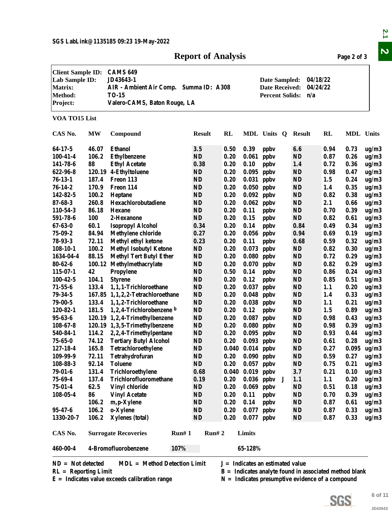### **Report of Analysis** Page 2 of 3

|                                                                                            |                |                                                                                                                                                                                                                           | <b>Report of Analysis</b>    |              |                      |                                                          |                        |      | Page 2 of 3      |                |
|--------------------------------------------------------------------------------------------|----------------|---------------------------------------------------------------------------------------------------------------------------------------------------------------------------------------------------------------------------|------------------------------|--------------|----------------------|----------------------------------------------------------|------------------------|------|------------------|----------------|
| <b>Client Sample ID:</b><br>Lab Sample ID:<br><b>Matrix:</b><br><b>Method:</b><br>Project: |                | <b>CAMS 649</b><br>JD43643-1<br>04/18/22<br>Date Sampled:<br>AIR - Ambient Air Comp. Summa ID: A308<br>04/24/22<br><b>Date Received:</b><br><b>TO-15</b><br><b>Percent Solids:</b><br>n/a<br>Valero-CAMS, Baton Rouge, LA |                              |              |                      |                                                          |                        |      |                  |                |
| VOA TO15 List                                                                              |                |                                                                                                                                                                                                                           |                              |              |                      |                                                          |                        |      |                  |                |
| CAS No.                                                                                    | <b>MW</b>      | Compound                                                                                                                                                                                                                  | <b>Result</b>                | <b>RL</b>    |                      | MDL Units Q                                              | Result                 | RL   | <b>MDL</b> Units |                |
| 64-17-5                                                                                    | 46.07          | <b>Ethanol</b>                                                                                                                                                                                                            | 3.5                          | 0.50         | 0.39                 | ppby                                                     | 6.6                    | 0.94 | 0.73             | ug/m3          |
| $100 - 41 - 4$                                                                             | 106.2          | <b>Ethylbenzene</b>                                                                                                                                                                                                       | ND                           | 0.20         | 0.061                | ppby                                                     | <b>ND</b>              | 0.87 | 0.26             | ug/m3          |
| 141-78-6                                                                                   | 88             | <b>Ethyl Acetate</b>                                                                                                                                                                                                      | 0.38                         | 0.20         | 0.10                 | ppby                                                     | 1.4                    | 0.72 | 0.36             | ug/m3          |
| 622-96-8                                                                                   |                | 120.19 4-Ethyltoluene                                                                                                                                                                                                     | ND                           | 0.20         | 0.095                | ppby                                                     | <b>ND</b>              | 0.98 | 0.47             | ug/m3          |
| $76 - 13 - 1$                                                                              | 187.4          | Freon 113                                                                                                                                                                                                                 | <b>ND</b>                    | 0.20         | 0.031                | ppby                                                     | <b>ND</b>              | 1.5  | 0.24             | ug/m3          |
| $76 - 14 - 2$                                                                              | 170.9          | Freon 114                                                                                                                                                                                                                 | ND                           | 0.20         | 0.050                | ppby                                                     | <b>ND</b>              | 1.4  | 0.35             | ug/m3          |
| 142-82-5                                                                                   | 100.2          | Heptane                                                                                                                                                                                                                   | <b>ND</b>                    | 0.20         | 0.092                | ppby                                                     | <b>ND</b>              | 0.82 | 0.38             | ug/m3          |
| $87 - 68 - 3$                                                                              | 260.8          | Hexachlorobutadiene                                                                                                                                                                                                       | ND                           | 0.20         | 0.062                | ppby                                                     | <b>ND</b>              | 2.1  | 0.66             | ug/m3          |
| 110-54-3                                                                                   | 86.18          | <b>Hexane</b>                                                                                                                                                                                                             | <b>ND</b>                    | 0.20         | 0.11                 | ppby                                                     | <b>ND</b>              | 0.70 | 0.39             | ug/m3          |
| 591-78-6                                                                                   | 100            | 2-Hexanone                                                                                                                                                                                                                | $\mathbf{N}\mathbf{D}$       | 0.20         | 0.15                 | ppby                                                     | <b>ND</b>              | 0.82 | 0.61             | ug/m3          |
| $67 - 63 - 0$                                                                              | 60.1           | <b>Isopropyl Alcohol</b>                                                                                                                                                                                                  | 0.34                         | 0.20         | 0.14                 | ppby                                                     | 0.84                   | 0.49 | 0.34             | ug/m3          |
| $75 - 09 - 2$                                                                              | 84.94          | <b>Methylene chloride</b>                                                                                                                                                                                                 | 0.27                         | 0.20         | 0.056                | ppby                                                     | 0.94                   | 0.69 | 0.19             | ug/m3          |
| $78 - 93 - 3$                                                                              | 72.11          | Methyl ethyl ketone                                                                                                                                                                                                       | 0.23                         | 0.20         | 0.11                 | ppby                                                     | 0.68                   | 0.59 | 0.32             | ug/m3          |
| $108-10-1$                                                                                 | 100.2          | <b>Methyl Isobutyl Ketone</b>                                                                                                                                                                                             | ND                           | 0.20         | 0.073                | ppby                                                     | <b>ND</b>              | 0.82 | 0.30             | ug/m3          |
| 1634-04-4                                                                                  | 88.15          | <b>Methyl Tert Butyl Ether</b>                                                                                                                                                                                            | ND                           | 0.20         | 0.080                | ppby                                                     | <b>ND</b>              | 0.72 | 0.29             | ug/m3          |
| $80 - 62 - 6$                                                                              | 100.12         | Methylmethacrylate                                                                                                                                                                                                        | ND                           | 0.20         | 0.070                | ppby                                                     | <b>ND</b>              | 0.82 | 0.29             | ug/m3          |
| $115 - 07 - 1$                                                                             | 42             | Propylene                                                                                                                                                                                                                 | <b>ND</b>                    | 0.50         | 0.14                 | ppby                                                     | <b>ND</b>              | 0.86 | 0.24             | ug/m3          |
| $100 - 42 - 5$                                                                             | 104.1          | <b>Styrene</b>                                                                                                                                                                                                            | $\bf ND$                     | 0.20         | 0.12                 | ppby                                                     | <b>ND</b>              | 0.85 | 0.51             | ug/m3          |
| $71 - 55 - 6$                                                                              | 133.4          | 1,1,1-Trichloroethane                                                                                                                                                                                                     | $\mathbf{N}\mathbf{D}$       | 0.20         | 0.037                | ppby                                                     | <b>ND</b>              | 1.1  | 0.20             | ug/m3          |
| $79 - 34 - 5$                                                                              |                | 167.85 1,1,2,2-Tetrachloroethane                                                                                                                                                                                          | ND                           | 0.20         | 0.048                | ppby                                                     | <b>ND</b>              | 1.4  | 0.33             | ug/m3          |
| $79 - 00 - 5$                                                                              | 133.4          | 1,1,2-Trichloroethane                                                                                                                                                                                                     | <b>ND</b>                    | 0.20         | 0.038                | ppby                                                     | <b>ND</b>              | 1.1  | 0.21             | ug/m3          |
| 120-82-1                                                                                   | 181.5          | 1,2,4-Trichlorobenzene b                                                                                                                                                                                                  | <b>ND</b>                    | 0.20         | 0.12                 | ppby                                                     | <b>ND</b>              | 1.5  | 0.89             | ug/m3          |
| $95 - 63 - 6$                                                                              |                | 120.19 1,2,4-Trimethylbenzene                                                                                                                                                                                             | <b>ND</b>                    | 0.20         | 0.087                | ppby                                                     | <b>ND</b>              | 0.98 | 0.43             | ug/m3          |
| $108 - 67 - 8$                                                                             |                | 120.19 1,3,5-Trimethylbenzene                                                                                                                                                                                             | ND                           | 0.20         | $0.080$ ppbv         |                                                          | ND                     | 0.98 | 0.39             | ug/m3          |
| 540-84-1                                                                                   |                | 114.2 2,2,4-Trimethylpentane                                                                                                                                                                                              | <b>ND</b>                    | 0.20         |                      | $0.095$ ppbv                                             | <b>ND</b>              | 0.93 | 0.44             |                |
| $75 - 65 - 0$                                                                              | 74.12          | <b>Tertiary Butyl Alcohol</b>                                                                                                                                                                                             | ND                           | 0.20         | $0.093$ ppbv         |                                                          | <b>ND</b>              | 0.61 | 0.28             | ug/m3          |
| 127-18-4                                                                                   | 165.8          | Tetrachloroethylene                                                                                                                                                                                                       | ND                           |              | $0.040$ $0.014$ ppbv |                                                          | <b>ND</b>              | 0.27 | 0.095            | ug/m3<br>ug/m3 |
| 109-99-9                                                                                   | 72.11          | Tetrahydrofuran                                                                                                                                                                                                           | ND                           | 0.20         | $0.090$ ppbv         |                                                          | <b>ND</b>              | 0.59 | 0.27             |                |
| 108-88-3                                                                                   | 92.14          | <b>Toluene</b>                                                                                                                                                                                                            | ND                           | 0.20         | $0.057$ ppbv         |                                                          | <b>ND</b>              | 0.75 | 0.21             | ug/m3          |
| $79 - 01 - 6$                                                                              | 131.4          | Trichloroethylene                                                                                                                                                                                                         | 0.68                         |              | $0.040$ $0.019$ ppbv |                                                          | 3.7                    | 0.21 | 0.10             | ug/m3          |
| $75 - 69 - 4$                                                                              | 137.4          | Trichlorofluoromethane                                                                                                                                                                                                    |                              | 0.20         |                      | $0.036$ ppbv<br>J                                        | 1.1                    |      |                  | ug/m3          |
|                                                                                            |                |                                                                                                                                                                                                                           | 0.19                         |              |                      |                                                          |                        | 1.1  | 0.20             | ug/m3          |
| $75 - 01 - 4$                                                                              | 62.5           | <b>Vinyl chloride</b>                                                                                                                                                                                                     | ND                           | 0.20         | $0.069$ ppbv         |                                                          | <b>ND</b>              | 0.51 | 0.18             | ug/m3          |
| $108 - 05 - 4$                                                                             | 86             | <b>Vinyl Acetate</b>                                                                                                                                                                                                      | <b>ND</b>                    | 0.20         | 0.11                 | ppby                                                     | <b>ND</b>              | 0.70 | 0.39             | ug/m3          |
|                                                                                            | 106.2          | m, p-Xylene                                                                                                                                                                                                               | <b>ND</b>                    | 0.20         | 0.14                 | ppby                                                     | <b>ND</b>              | 0.87 | 0.61             | ug/m3          |
| $95 - 47 - 6$                                                                              | 106.2<br>106.2 | o-Xylene<br><b>Xylenes</b> (total)                                                                                                                                                                                        | $\mathbf{N}\mathbf{D}$<br>ND | 0.20<br>0.20 | 0.077                | ppby                                                     | <b>ND</b><br><b>ND</b> | 0.87 | 0.33             | ug/m3          |
| 1330-20-7                                                                                  |                |                                                                                                                                                                                                                           |                              |              | 0.077                | ppby                                                     |                        | 0.87 | 0.33             | ug/m3          |
| CAS No.                                                                                    |                | <b>Surrogate Recoveries</b>                                                                                                                                                                                               | Run# 1<br>Run# 2             |              | Limits               |                                                          |                        |      |                  |                |
| 460-00-4                                                                                   |                | 4-Bromofluorobenzene<br>107%                                                                                                                                                                                              |                              |              | 65-128%              |                                                          |                        |      |                  |                |
| $ND = Not detected$                                                                        |                | <b>MDL</b> = Method Detection Limit                                                                                                                                                                                       |                              |              |                      | $J = Indicates$ an estimated value                       |                        |      |                  |                |
| $RL =$ Reporting Limit                                                                     |                |                                                                                                                                                                                                                           |                              |              |                      | $B =$ Indicates analyte found in associated method blank |                        |      |                  |                |
|                                                                                            |                | $E =$ Indicates value exceeds calibration range                                                                                                                                                                           |                              |              |                      | $N =$ Indicates presumptive evidence of a compound       |                        |      |                  |                |
|                                                                                            |                |                                                                                                                                                                                                                           |                              |              |                      |                                                          |                        |      |                  |                |
|                                                                                            |                |                                                                                                                                                                                                                           |                              |              |                      |                                                          |                        |      |                  | 6 of 11        |
|                                                                                            |                |                                                                                                                                                                                                                           |                              |              |                      |                                                          |                        |      | SGS              |                |
|                                                                                            |                |                                                                                                                                                                                                                           |                              |              |                      |                                                          |                        |      |                  | JD43643        |



 $\mathbf{z}$ .1  $\overline{\mathbf{v}}$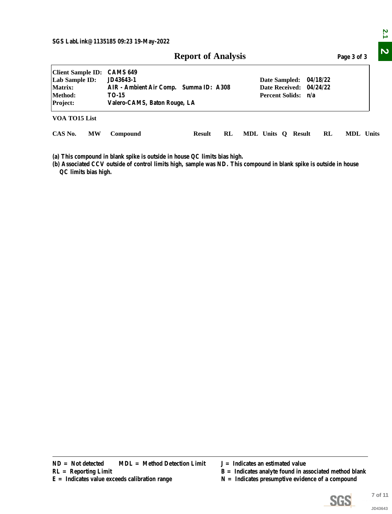| <b>Report of Analysis</b> | Page 3 of 3 |
|---------------------------|-------------|
|---------------------------|-------------|

|                                                                              |           |                                                                                                                                                                                                                           | <b>Report of Analysis</b> |    |  |                                    |  |    | Page 3 of 3                                                                                                    |                    |
|------------------------------------------------------------------------------|-----------|---------------------------------------------------------------------------------------------------------------------------------------------------------------------------------------------------------------------------|---------------------------|----|--|------------------------------------|--|----|----------------------------------------------------------------------------------------------------------------|--------------------|
| <b>Client Sample ID:</b><br>Lab Sample ID:<br>Matrix:<br>Method:<br>Project: |           | <b>CAMS 649</b><br>JD43643-1<br>Date Sampled:<br>04/18/22<br><b>Date Received:</b><br>AIR - Ambient Air Comp. Summa ID: A308<br>04/24/22<br><b>Percent Solids:</b><br><b>TO-15</b><br>n/a<br>Valero-CAMS, Baton Rouge, LA |                           |    |  |                                    |  |    |                                                                                                                |                    |
| VOA TO15 List                                                                |           |                                                                                                                                                                                                                           |                           |    |  |                                    |  |    |                                                                                                                |                    |
| CAS No.                                                                      | <b>MW</b> | Compound                                                                                                                                                                                                                  | <b>Result</b>             | RL |  | MDL Units Q Result                 |  | RL | MDL Units                                                                                                      |                    |
| QC limits bias high.                                                         |           | (a) This compound in blank spike is outside in house QC limits bias high.<br>(b) Associated CCV outside of control limits high, sample was ND. This compound in blank spike is outside in house                           |                           |    |  |                                    |  |    |                                                                                                                |                    |
|                                                                              |           |                                                                                                                                                                                                                           |                           |    |  |                                    |  |    |                                                                                                                |                    |
|                                                                              |           |                                                                                                                                                                                                                           |                           |    |  |                                    |  |    |                                                                                                                |                    |
|                                                                              |           |                                                                                                                                                                                                                           |                           |    |  |                                    |  |    |                                                                                                                |                    |
|                                                                              |           |                                                                                                                                                                                                                           |                           |    |  |                                    |  |    |                                                                                                                |                    |
|                                                                              |           |                                                                                                                                                                                                                           |                           |    |  |                                    |  |    |                                                                                                                |                    |
|                                                                              |           |                                                                                                                                                                                                                           |                           |    |  |                                    |  |    |                                                                                                                |                    |
| $ND = Not detected$<br>$RL =$ Reporting Limit                                |           | <b>MDL</b> = Method Detection Limit<br>$E =$ Indicates value exceeds calibration range                                                                                                                                    |                           |    |  | $J = Indicates$ an estimated value |  |    | $B =$ Indicates analyte found in associated method blank<br>$N =$ Indicates presumptive evidence of a compound |                    |
|                                                                              |           |                                                                                                                                                                                                                           |                           |    |  |                                    |  |    | <b>SGS</b>                                                                                                     | 7 of 11<br>JD43643 |

- 
- **R** = Indicates analyte found in associated method blank
- 



 $\overline{2.1}$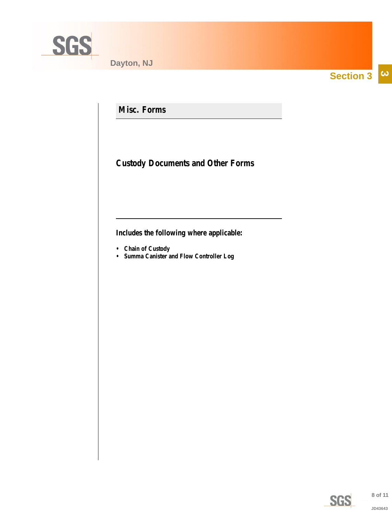<span id="page-7-0"></span>

**Section 3**  $|\boldsymbol{\omega}|$ 

**Misc. Forms**

**Custody Documents and Other Forms**

**Includes the following where applicable:**

- **Chain of Custody**
- **Summa Canister and Flow Controller Log**

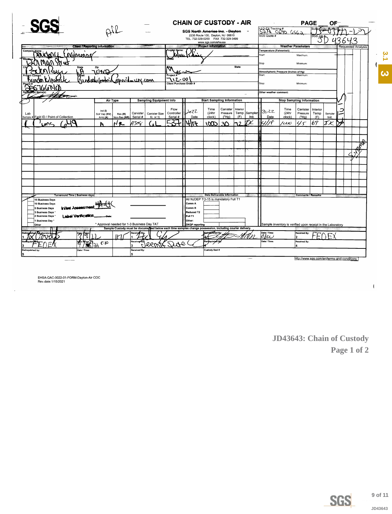<span id="page-8-0"></span>

|                                                                |                                                    |                                                                                                                     |                                | <b>CHAIN OF CUSTODY - AIR</b>        |                                                  |                              |                  |                          |                                                             |                                  | <b>PAGE</b>                                |             | ΟF               |                           |
|----------------------------------------------------------------|----------------------------------------------------|---------------------------------------------------------------------------------------------------------------------|--------------------------------|--------------------------------------|--------------------------------------------------|------------------------------|------------------|--------------------------|-------------------------------------------------------------|----------------------------------|--------------------------------------------|-------------|------------------|---------------------------|
|                                                                |                                                    |                                                                                                                     |                                | SGS North America Inc. - Dayton      |                                                  |                              |                  |                          | 537 OG40 6562                                               |                                  |                                            |             |                  |                           |
|                                                                |                                                    |                                                                                                                     |                                | TEL. 732-329-0200 FAX 732-329-3499   | 2235 Route 130, Dayton, NJ 08810                 |                              |                  |                          | SGS Quote #                                                 |                                  |                                            | SGS Job     |                  |                           |
|                                                                | Client / Reporting Information                     |                                                                                                                     |                                |                                      | www.sgs.com/ehsusa<br><b>Project Information</b> |                              |                  |                          |                                                             |                                  | <b>Weather Parameters</b>                  |             |                  | <b>Requested Analysis</b> |
| <b>Company Name</b>                                            |                                                    |                                                                                                                     | Project Name:                  |                                      |                                                  |                              |                  | Temperature (Fahrenheit) |                                                             |                                  |                                            |             |                  |                           |
| Minumne                                                        |                                                    |                                                                                                                     |                                |                                      |                                                  |                              |                  |                          | Start                                                       |                                  | Maximum.                                   |             |                  |                           |
|                                                                |                                                    |                                                                                                                     |                                |                                      |                                                  |                              |                  |                          | Stop                                                        |                                  | Minimum:                                   |             |                  |                           |
| <b>State</b><br>A.                                             | Zip<br>70.KQ                                       |                                                                                                                     |                                |                                      |                                                  |                              | <b>State</b>     |                          | Atmoshpheric Pressure (inches of Hg)                        |                                  |                                            |             |                  |                           |
|                                                                |                                                    |                                                                                                                     | Project<br>$12 - 00$           |                                      |                                                  |                              |                  |                          | Start:                                                      |                                  | Maximum                                    |             |                  |                           |
|                                                                |                                                    | speritaun con                                                                                                       | <b>Client Purchase Order #</b> |                                      |                                                  |                              |                  |                          | Stop:                                                       |                                  | Minimum:                                   |             |                  |                           |
|                                                                |                                                    |                                                                                                                     |                                |                                      |                                                  |                              |                  |                          | Other weather comment:                                      |                                  |                                            |             |                  |                           |
|                                                                |                                                    |                                                                                                                     |                                |                                      |                                                  |                              |                  |                          |                                                             |                                  |                                            |             |                  |                           |
|                                                                | Air Type                                           | <b>Sampling Equipment Info</b>                                                                                      |                                |                                      | <b>Start Sampling Information</b>                |                              |                  |                          |                                                             | <b>Stop Sampling Information</b> |                                            |             |                  |                           |
|                                                                | Ind $(I)$                                          |                                                                                                                     | Flow<br>Controller             | 2022                                 | Time<br>(24hr                                    | Canister<br>Pressure         | Interior<br>Temp | Sampler                  | 12022                                                       | Time<br>(24hr                    | Canister<br>Pressure                       | Interior    |                  |                           |
| Lab<br>Sample # <mark>I</mark> Field ID / Point of Collection  | Soil Vap (SV)<br>Res (R)<br>Amb(A)<br>Non-Res (NR) | Canister<br><b>Canister Size</b><br>Serial #<br>6L or 1L                                                            | Serial #                       | Date                                 | clock)                                           | ("Ha)                        | (F)              | Init.                    | Date                                                        | clock)                           | ("Hg)                                      | Temp<br>(F) | Sampler<br>Init. |                           |
| ⊾∧د                                                            | NR<br>ħ                                            | A308                                                                                                                |                                | 4117                                 | ١Œ                                               | ঽ∩                           | ٦2               |                          | 'r F                                                        | اندر/                            | 45                                         | 67          | TК               |                           |
|                                                                |                                                    |                                                                                                                     |                                |                                      |                                                  |                              |                  |                          |                                                             |                                  |                                            |             |                  |                           |
|                                                                |                                                    |                                                                                                                     |                                |                                      |                                                  |                              |                  |                          |                                                             |                                  |                                            |             |                  |                           |
|                                                                |                                                    |                                                                                                                     |                                |                                      |                                                  |                              |                  |                          |                                                             |                                  |                                            |             |                  |                           |
|                                                                |                                                    |                                                                                                                     |                                |                                      |                                                  |                              |                  |                          |                                                             |                                  |                                            |             |                  |                           |
|                                                                |                                                    |                                                                                                                     |                                |                                      |                                                  |                              |                  |                          |                                                             |                                  |                                            |             |                  |                           |
|                                                                |                                                    |                                                                                                                     |                                |                                      |                                                  |                              |                  |                          |                                                             |                                  |                                            |             |                  |                           |
|                                                                |                                                    |                                                                                                                     |                                |                                      |                                                  |                              |                  |                          |                                                             |                                  |                                            |             |                  |                           |
|                                                                |                                                    |                                                                                                                     |                                |                                      |                                                  |                              |                  |                          |                                                             |                                  |                                            |             |                  |                           |
|                                                                |                                                    |                                                                                                                     |                                |                                      |                                                  |                              |                  |                          |                                                             |                                  |                                            |             |                  |                           |
|                                                                |                                                    |                                                                                                                     |                                |                                      |                                                  |                              |                  |                          |                                                             |                                  |                                            |             |                  |                           |
| <b>Turnaround Time (Business days)</b><br>15 Business Days     |                                                    |                                                                                                                     |                                | All NJDEP TO-15 is mandatory Full T1 |                                                  | Data Deliverable Information |                  |                          |                                                             |                                  | <b>Comments / Remarks</b>                  |             |                  |                           |
| 10 Business Days                                               | Initial Assessment Affred of                       |                                                                                                                     |                                | Comm A                               |                                                  |                              |                  |                          |                                                             |                                  |                                            |             |                  |                           |
| 5 Business Days<br>3 Business Days *                           |                                                    |                                                                                                                     |                                | Comm B<br>Reduced T2                 |                                                  |                              |                  |                          |                                                             |                                  |                                            |             |                  |                           |
| <b>Label Verification</b><br>2 Business Days<br>1 Business Dav | : ماد 13                                           |                                                                                                                     |                                | Full T1<br>Other:                    |                                                  |                              |                  |                          |                                                             |                                  |                                            |             |                  |                           |
| Other                                                          | * Approval needed for 1-3 Business Day TAT         |                                                                                                                     |                                | <b>DKQP</b> reporting                |                                                  |                              |                  |                          | Sample inventory is verified upon receipt in the Laboratory |                                  |                                            |             |                  |                           |
| thorate<br> ッ                                                  | η                                                  | Sample Custody must be documented below each time samples change possession, including courier delivery.<br>taceive |                                |                                      | <b>Relinguished By:</b>                          |                              |                  |                          | Date / Time:                                                |                                  | Received By:                               |             |                  |                           |
|                                                                |                                                    | Roceived                                                                                                            |                                |                                      | Relinquisited By:                                |                              |                  |                          | ofce<br>Date / Time:                                        |                                  | Received By:                               |             |                  |                           |
| Ņ۴                                                             | 5.30                                               |                                                                                                                     | Q                              |                                      |                                                  |                              |                  |                          |                                                             |                                  |                                            |             |                  |                           |
| Relinquished by:<br>l5                                         | Date / Time:                                       | Received By:<br>5                                                                                                   |                                |                                      | Custody Seal #                                   |                              |                  |                          |                                                             |                                  |                                            |             |                  |                           |
|                                                                |                                                    |                                                                                                                     |                                |                                      |                                                  |                              |                  |                          |                                                             |                                  | http://www.sgs.com/en/terms-and-conditions |             |                  |                           |

EHSA-QAC-0022-01-FORM-Dayton-Air COC<br>Rev.date:1/15/2021

 $\overline{a}$ 

JD43643: Chain of Custody Page 1 of 2



 $\bar{1}$ 

 $\frac{3}{7}$ 

 $\ddot{\bm{\omega}}$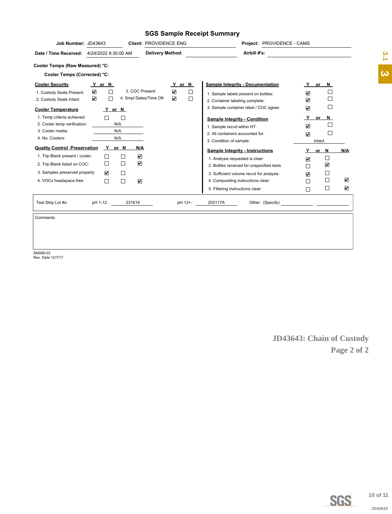#### **SGS Sample Receipt Summary**

| Job Number: JD43643                                                                                                        | Client: PROVIDENCE ENG                                                                                                     | Project: PROVIDENCE - CAMS                                                            |                                                                              |                       |
|----------------------------------------------------------------------------------------------------------------------------|----------------------------------------------------------------------------------------------------------------------------|---------------------------------------------------------------------------------------|------------------------------------------------------------------------------|-----------------------|
| Date / Time Received: 4/24/2022 8:30:00 AM                                                                                 | <b>Delivery Method:</b>                                                                                                    | Airbill #'s:                                                                          |                                                                              | $\frac{2}{3}$         |
| Cooler Temps (Raw Measured) °C:                                                                                            |                                                                                                                            |                                                                                       |                                                                              |                       |
| Cooler Temps (Corrected) °C:                                                                                               |                                                                                                                            |                                                                                       |                                                                              | $\boldsymbol{\omega}$ |
| <b>Cooler Security</b><br><u>Y</u> or N                                                                                    | Y or N                                                                                                                     | <b>Sample Integrity - Documentation</b>                                               | Y<br>or N                                                                    |                       |
| $\overline{\textbf{v}}$<br>$\Box$<br>1. Custody Seals Present:<br>$\overline{\mathbf{v}}$<br>□<br>2. Custody Seals Intact: | $\overline{\textbf{v}}$<br>3. COC Present:<br>$\Box$<br>$\color{red}\blacktriangledown$<br>4. Smpl Dates/Time OK<br>$\Box$ | 1. Sample labels present on bottles:<br>2. Container labeling complete:               | $\Box$<br>$\overline{\mathbf{v}}$<br>$\Box$<br>☑                             |                       |
| <b>Cooler Temperature</b><br><u>Y</u> or N                                                                                 |                                                                                                                            | 3. Sample container label / COC agree:                                                | $\Box$<br>$\overline{\mathbf{v}}$                                            |                       |
| 1. Temp criteria achieved:<br>$\hfill\square$<br>$\Box$<br>2. Cooler temp verification:<br>N/A                             |                                                                                                                            | <b>Sample Integrity - Condition</b><br>1. Sample recvd within HT:                     | <u>_Y_</u><br>or $N$<br>$\Box$<br>$\boxed{\blacktriangledown}$               |                       |
| N/A<br>3. Cooler media:<br>4. No. Coolers:<br>N/A                                                                          |                                                                                                                            | 2. All containers accounted for:                                                      | $\hfill\square$<br>$\overline{\mathbf{v}}$                                   |                       |
| <b>Quality Control Preservation</b><br>Y or N                                                                              | <u>N/A</u>                                                                                                                 | 3. Condition of sample:                                                               | Intact                                                                       |                       |
| 1. Trip Blank present / cooler:<br>$\Box$<br>$\Box$                                                                        | $\blacktriangledown$                                                                                                       | <b>Sample Integrity - Instructions</b>                                                | Y or N<br>N/A                                                                |                       |
| $\Box$<br>$\Box$<br>2. Trip Blank listed on COC:                                                                           | $\blacktriangledown$                                                                                                       | 1. Analysis requested is clear:                                                       | $\Box$<br>$\color{red}\blacktriangledown$<br>$\color{red}\blacktriangledown$ |                       |
| 3. Samples preserved properly:<br>$\blacktriangledown$<br>$\Box$                                                           |                                                                                                                            | 2. Bottles received for unspecified tests<br>3. Sufficient volume recvd for analysis: | $\Box$<br>$\Box$                                                             |                       |
| $\Box$<br>4. VOCs headspace free:<br>$\Box$                                                                                | $\color{red}\blacktriangledown$                                                                                            | 4. Compositing instructions clear:                                                    | $\overline{\mathbf{v}}$<br>$\Box$<br>$\blacktriangledown$<br>$\Box$          |                       |
|                                                                                                                            |                                                                                                                            | 5. Filtering instructions clear:                                                      | $\Box$<br>$\blacktriangledown$<br>$\Box$                                     |                       |
|                                                                                                                            |                                                                                                                            |                                                                                       |                                                                              |                       |
| 231619<br>Test Strip Lot #s:<br>pH 1-12:                                                                                   | pH 12+:                                                                                                                    | 203117A                                                                               |                                                                              |                       |
| Comments                                                                                                                   |                                                                                                                            |                                                                                       |                                                                              |                       |
|                                                                                                                            |                                                                                                                            |                                                                                       |                                                                              |                       |
|                                                                                                                            |                                                                                                                            |                                                                                       |                                                                              |                       |
|                                                                                                                            |                                                                                                                            |                                                                                       |                                                                              |                       |
|                                                                                                                            |                                                                                                                            |                                                                                       |                                                                              |                       |
|                                                                                                                            |                                                                                                                            |                                                                                       |                                                                              |                       |
|                                                                                                                            |                                                                                                                            |                                                                                       |                                                                              |                       |
|                                                                                                                            |                                                                                                                            |                                                                                       |                                                                              |                       |
|                                                                                                                            |                                                                                                                            |                                                                                       |                                                                              |                       |
|                                                                                                                            |                                                                                                                            |                                                                                       |                                                                              |                       |
|                                                                                                                            |                                                                                                                            |                                                                                       | JD43643: Chain of Custody                                                    |                       |
|                                                                                                                            |                                                                                                                            |                                                                                       | Page 2 of 2                                                                  |                       |
|                                                                                                                            |                                                                                                                            |                                                                                       |                                                                              |                       |
|                                                                                                                            |                                                                                                                            |                                                                                       |                                                                              |                       |
|                                                                                                                            |                                                                                                                            |                                                                                       |                                                                              |                       |
|                                                                                                                            |                                                                                                                            |                                                                                       |                                                                              |                       |
|                                                                                                                            |                                                                                                                            |                                                                                       |                                                                              |                       |
|                                                                                                                            |                                                                                                                            |                                                                                       |                                                                              |                       |
|                                                                                                                            |                                                                                                                            |                                                                                       |                                                                              |                       |
|                                                                                                                            |                                                                                                                            |                                                                                       |                                                                              |                       |
|                                                                                                                            |                                                                                                                            |                                                                                       |                                                                              |                       |
|                                                                                                                            |                                                                                                                            |                                                                                       |                                                                              |                       |
|                                                                                                                            |                                                                                                                            |                                                                                       |                                                                              |                       |
|                                                                                                                            |                                                                                                                            |                                                                                       |                                                                              |                       |
|                                                                                                                            |                                                                                                                            |                                                                                       |                                                                              |                       |
|                                                                                                                            |                                                                                                                            |                                                                                       |                                                                              |                       |
|                                                                                                                            |                                                                                                                            |                                                                                       |                                                                              |                       |
|                                                                                                                            |                                                                                                                            |                                                                                       |                                                                              |                       |
|                                                                                                                            |                                                                                                                            |                                                                                       | <b>SGS</b>                                                                   | 10 of 11              |
|                                                                                                                            |                                                                                                                            |                                                                                       |                                                                              | JD43643               |
|                                                                                                                            |                                                                                                                            |                                                                                       |                                                                              |                       |